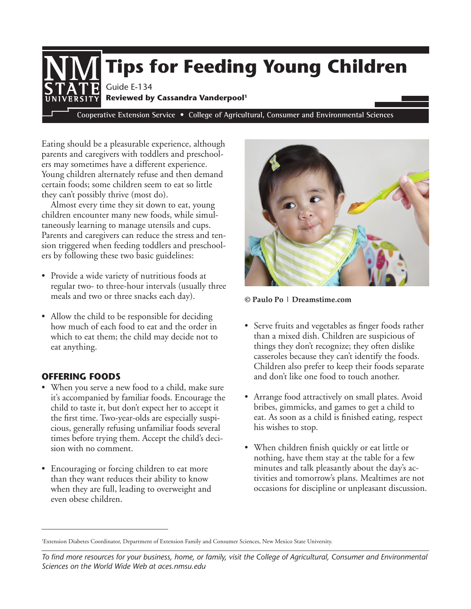

Eating should be a pleasurable experience, although parents and caregivers with toddlers and preschoolers may sometimes have a different experience. Young children alternately refuse and then demand certain foods; some children seem to eat so little they can't possibly thrive (most do).

Almost every time they sit down to eat, young children encounter many new foods, while simultaneously learning to manage utensils and cups. Parents and caregivers can reduce the stress and tension triggered when feeding toddlers and preschoolers by following these two basic guidelines:

- Provide a wide variety of nutritious foods at regular two- to three-hour intervals (usually three meals and two or three snacks each day).
- Allow the child to be responsible for deciding how much of each food to eat and the order in which to eat them; the child may decide not to eat anything.

# **OFFERING FOODS**

- When you serve a new food to a child, make sure it's accompanied by familiar foods. Encourage the child to taste it, but don't expect her to accept it the first time. Two-year-olds are especially suspicious, generally refusing unfamiliar foods several times before trying them. Accept the child's decision with no comment.
- Encouraging or forcing children to eat more than they want reduces their ability to know when they are full, leading to overweight and even obese children.



**© Paulo Po | Dreamstime.com**

- Serve fruits and vegetables as finger foods rather than a mixed dish. Children are suspicious of things they don't recognize; they often dislike casseroles because they can't identify the foods. Children also prefer to keep their foods separate and don't like one food to touch another.
- Arrange food attractively on small plates. Avoid bribes, gimmicks, and games to get a child to eat. As soon as a child is finished eating, respect his wishes to stop.
- When children finish quickly or eat little or nothing, have them stay at the table for a few minutes and talk pleasantly about the day's activities and tomorrow's plans. Mealtimes are not occasions for discipline or unpleasant discussion.

<sup>1</sup> Extension Diabetes Coordinator, Department of Extension Family and Consumer Sciences, New Mexico State University.

*To find more resources for your business, home, or family, visit the College of Agricultural, Consumer and Environmental Sciences on the World Wide Web at aces.nmsu.edu*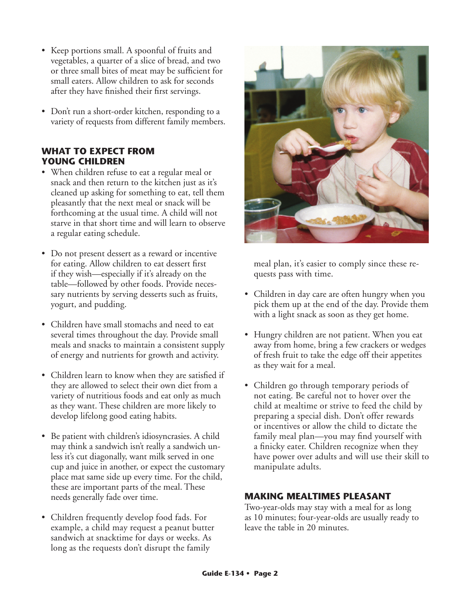- Keep portions small. A spoonful of fruits and vegetables, a quarter of a slice of bread, and two or three small bites of meat may be sufficient for small eaters. Allow children to ask for seconds after they have finished their first servings.
- Don't run a short-order kitchen, responding to a variety of requests from different family members.

## **WHAT TO EXPECT FROM YOUNG CHILDREN**

- When children refuse to eat a regular meal or snack and then return to the kitchen just as it's cleaned up asking for something to eat, tell them pleasantly that the next meal or snack will be forthcoming at the usual time. A child will not starve in that short time and will learn to observe a regular eating schedule.
- Do not present dessert as a reward or incentive for eating. Allow children to eat dessert first if they wish—especially if it's already on the table—followed by other foods. Provide necessary nutrients by serving desserts such as fruits, yogurt, and pudding.
- Children have small stomachs and need to eat several times throughout the day. Provide small meals and snacks to maintain a consistent supply of energy and nutrients for growth and activity.
- Children learn to know when they are satisfied if they are allowed to select their own diet from a variety of nutritious foods and eat only as much as they want. These children are more likely to develop lifelong good eating habits.
- Be patient with children's idiosyncrasies. A child may think a sandwich isn't really a sandwich unless it's cut diagonally, want milk served in one cup and juice in another, or expect the customary place mat same side up every time. For the child, these are important parts of the meal. These needs generally fade over time.
- Children frequently develop food fads. For example, a child may request a peanut butter sandwich at snacktime for days or weeks. As long as the requests don't disrupt the family



meal plan, it's easier to comply since these requests pass with time.

- Children in day care are often hungry when you pick them up at the end of the day. Provide them with a light snack as soon as they get home.
- Hungry children are not patient. When you eat away from home, bring a few crackers or wedges of fresh fruit to take the edge off their appetites as they wait for a meal.
- Children go through temporary periods of not eating. Be careful not to hover over the child at mealtime or strive to feed the child by preparing a special dish. Don't offer rewards or incentives or allow the child to dictate the family meal plan—you may find yourself with a finicky eater. Children recognize when they have power over adults and will use their skill to manipulate adults.

## **MAKING MEALTIMES PLEASANT**

Two-year-olds may stay with a meal for as long as 10 minutes; four-year-olds are usually ready to leave the table in 20 minutes.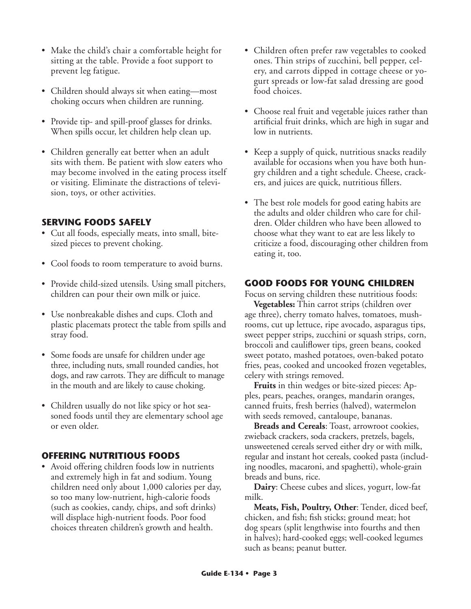- Make the child's chair a comfortable height for sitting at the table. Provide a foot support to prevent leg fatigue.
- Children should always sit when eating—most choking occurs when children are running.
- Provide tip- and spill-proof glasses for drinks. When spills occur, let children help clean up.
- Children generally eat better when an adult sits with them. Be patient with slow eaters who may become involved in the eating process itself or visiting. Eliminate the distractions of television, toys, or other activities.

## **SERVING FOODS SAFELY**

- Cut all foods, especially meats, into small, bitesized pieces to prevent choking.
- Cool foods to room temperature to avoid burns.
- Provide child-sized utensils. Using small pitchers, children can pour their own milk or juice.
- Use nonbreakable dishes and cups. Cloth and plastic placemats protect the table from spills and stray food.
- Some foods are unsafe for children under age three, including nuts, small rounded candies, hot dogs, and raw carrots. They are difficult to manage in the mouth and are likely to cause choking.
- Children usually do not like spicy or hot seasoned foods until they are elementary school age or even older.

## **OFFERING NUTRITIOUS FOODS**

• Avoid offering children foods low in nutrients and extremely high in fat and sodium. Young children need only about 1,000 calories per day, so too many low-nutrient, high-calorie foods (such as cookies, candy, chips, and soft drinks) will displace high-nutrient foods. Poor food choices threaten children's growth and health.

- Children often prefer raw vegetables to cooked ones. Thin strips of zucchini, bell pepper, celery, and carrots dipped in cottage cheese or yogurt spreads or low-fat salad dressing are good food choices.
- Choose real fruit and vegetable juices rather than artificial fruit drinks, which are high in sugar and low in nutrients.
- Keep a supply of quick, nutritious snacks readily available for occasions when you have both hungry children and a tight schedule. Cheese, crackers, and juices are quick, nutritious fillers.
- The best role models for good eating habits are the adults and older children who care for children. Older children who have been allowed to choose what they want to eat are less likely to criticize a food, discouraging other children from eating it, too.

### **GOOD FOODS FOR YOUNG CHILDREN**

Focus on serving children these nutritious foods:

**Vegetables:** Thin carrot strips (children over age three), cherry tomato halves, tomatoes, mushrooms, cut up lettuce, ripe avocado, asparagus tips, sweet pepper strips, zucchini or squash strips, corn, broccoli and cauliflower tips, green beans, cooked sweet potato, mashed potatoes, oven-baked potato fries, peas, cooked and uncooked frozen vegetables, celery with strings removed.

**Fruits** in thin wedges or bite-sized pieces: Apples, pears, peaches, oranges, mandarin oranges, canned fruits, fresh berries (halved), watermelon with seeds removed, cantaloupe, bananas.

**Breads and Cereals**: Toast, arrowroot cookies, zwieback crackers, soda crackers, pretzels, bagels, unsweetened cereals served either dry or with milk, regular and instant hot cereals, cooked pasta (including noodles, macaroni, and spaghetti), whole-grain breads and buns, rice.

**Dairy**: Cheese cubes and slices, yogurt, low-fat milk.

**Meats, Fish, Poultry, Other**: Tender, diced beef, chicken, and fish; fish sticks; ground meat; hot dog spears (split lengthwise into fourths and then in halves); hard-cooked eggs; well-cooked legumes such as beans; peanut butter.